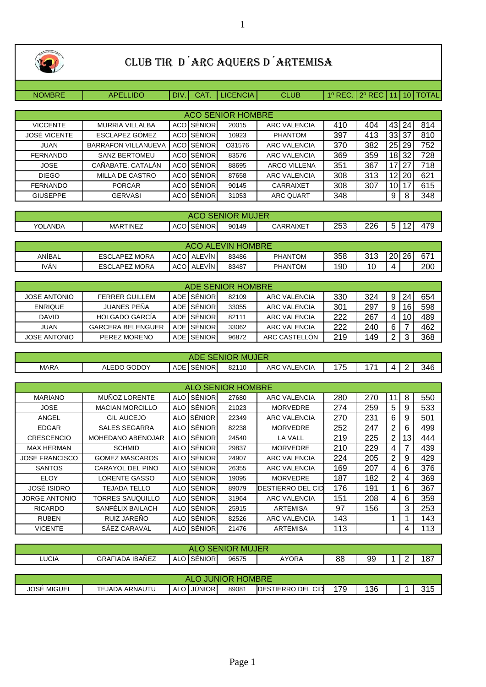

## CLUB TIR D´ARC AQUERS D´ARTEMISA

NOMBRE | APELLIDO | DIV. | CAT. | LICENCIA | CLUB | 1º REC. | 2º REC | 11 | 10 | TOTAL

|                     | <b>ACO SENIOR HOMBRE</b>   |  |                     |        |                     |     |     |         |     |     |  |  |  |  |
|---------------------|----------------------------|--|---------------------|--------|---------------------|-----|-----|---------|-----|-----|--|--|--|--|
| <b>VICCENTE</b>     | <b>MURRIA VILLALBA</b>     |  | <b>ACO SÉNIOR</b>   | 20015  | <b>ARC VALENCIA</b> | 410 | 404 | 43 24   |     | 814 |  |  |  |  |
| <b>JOSÉ VICENTE</b> | ESCLAPEZ GÓMEZ             |  | <b>ACO SÉNIOR</b>   | 10923  | <b>PHANTOM</b>      | 397 | 413 | 33 l    | -37 | 810 |  |  |  |  |
| <b>JUAN</b>         | <b>BARRAFON VILLANUEVA</b> |  | <b>ACO ISÉNIORI</b> | O31576 | <b>ARC VALENCIA</b> | 370 | 382 | 25 29   |     | 752 |  |  |  |  |
| <b>FERNANDO</b>     | <b>SANZ BERTOMEU</b>       |  | <b>ACO SÉNIOR</b>   | 83576  | <b>ARC VALENCIA</b> | 369 | 359 | 18 I    | 32  | 728 |  |  |  |  |
| <b>JOSE</b>         | CAÑABATE, CATALÁN          |  | <b>ACO ISÉNIOR</b>  | 88695  | <b>ARCO VILLENA</b> | 351 | 367 | 17      | 27  | 718 |  |  |  |  |
| <b>DIEGO</b>        | <b>MILLA DE CASTRO</b>     |  | <b>ACO ISÉNIOR</b>  | 87658  | <b>ARC VALENCIA</b> | 308 | 313 | $12 \,$ | 20  | 621 |  |  |  |  |
| <b>FERNANDO</b>     | <b>PORCAR</b>              |  | <b>ACO SENIOR</b>   | 90145  | CARRAIXET           | 308 | 307 | 10 I    |     | 615 |  |  |  |  |
| <b>GIUSEPPE</b>     | <b>GERVASI</b>             |  | <b>ACO ISENIOR</b>  | 31053  | <b>ARC QUART</b>    | 348 |     | 9       | 8   | 348 |  |  |  |  |

| <b>MUJER</b><br>VIUR<br>'NК<br>-30<br>ישטב |          |                     |       |           |                 |     |                                              |         |  |  |  |
|--------------------------------------------|----------|---------------------|-------|-----------|-----------------|-----|----------------------------------------------|---------|--|--|--|
| <b>YOLANDA</b>                             | MARTINEZ | <b>ACO ISENIORI</b> | 90149 | CARRAIXET | $\Omega$<br>∠∪ພ | 226 | $\overline{\phantom{0}}$<br>$\sim$<br>∽<br>ີ | $1 - 0$ |  |  |  |

| <b>ALEVIN HOMBRE</b><br>ACO <sup>.</sup> |                      |     |               |       |                |     |     |          |  |     |  |  |
|------------------------------------------|----------------------|-----|---------------|-------|----------------|-----|-----|----------|--|-----|--|--|
| ANİBAL                                   | <b>ESCLAPEZ MORA</b> | ACO | <b>ALEVIN</b> | 83486 | <b>PHANTOM</b> | 358 | 313 | 20 26    |  | 671 |  |  |
| <b>IVAN</b>                              | <b>ESCLAPEZ MORA</b> | ACO | <b>ALEVIN</b> | 83487 | <b>PHANTOM</b> | 190 | 10  | $\Delta$ |  | 200 |  |  |

|                     | ADE SENIOR HOMBRE        |  |              |       |               |     |     |   |        |     |  |  |  |  |
|---------------------|--------------------------|--|--------------|-------|---------------|-----|-----|---|--------|-----|--|--|--|--|
| <b>JOSE ANTONIO</b> | <b>FERRER GUILLEM</b>    |  | ADE ISÉNIORI | 82109 | ARC VALENCIA  | 330 | 324 | 9 | 24     | 654 |  |  |  |  |
| <b>ENRIQUE</b>      | <b>JUANES PEÑA</b>       |  | ADE ISÉNIORI | 33055 | ARC VALENCIA  | 301 | 297 | 9 | 16     | 598 |  |  |  |  |
| <b>DAVID</b>        | <b>HOLGADO GARCÍA</b>    |  | ADE ISÉNIORI | 82111 | ARC VALENCIA  | 222 | 267 | 4 | 10     | 489 |  |  |  |  |
| <b>JUAN</b>         | <b>GARCERA BELENGUER</b> |  | ADE ISÉNIOR  | 33062 | ARC VALENCIA  | 222 | 240 | 6 |        | 462 |  |  |  |  |
| <b>JOSE ANTONIO</b> | PEREZ MORENO             |  | ADE ISENIORI | 96872 | ARC CASTELLON | 219 | 149 | 2 | ◠<br>w | 368 |  |  |  |  |

| <b>SENIOR MUJER</b><br>ADE |             |                             |       |                     |    |         |            |  |     |  |  |  |
|----------------------------|-------------|-----------------------------|-------|---------------------|----|---------|------------|--|-----|--|--|--|
| <b>MARA</b>                | ALEDO GODOY | <b>SÉNIOR</b><br><b>ADE</b> | 82110 | <b>ARC VALENCIA</b> | 75 | $1 - A$ | $\sqrt{ }$ |  | 346 |  |  |  |

| <b>ALO SENIOR HOMBRE</b> |                        |            |               |       |                     |     |     |    |                 |     |  |  |
|--------------------------|------------------------|------------|---------------|-------|---------------------|-----|-----|----|-----------------|-----|--|--|
| <b>MARIANO</b>           | MUÑOZ LORENTE          | <b>ALO</b> | SÉNIOR        | 27680 | ARC VALENCIA        | 280 | 270 | 11 | 8               | 550 |  |  |
| <b>JOSE</b>              | <b>MACIAN MORCILLO</b> | <b>ALO</b> | SÉNIOR        | 21023 | <b>MORVEDRE</b>     | 274 | 259 | 5  | 9               | 533 |  |  |
| ANGEL                    | <b>GIL AUCEJO</b>      |            | ALO ISÉNIORI  | 22349 | ARC VALENCIA        | 270 | 231 | 6  | 9               | 501 |  |  |
| <b>EDGAR</b>             | SALES SEGARRA          |            | ALO SÉNIOR    | 82238 | <b>MORVEDRE</b>     | 252 | 247 | 2  | 6               | 499 |  |  |
| <b>CRESCENCIO</b>        | MOHEDANO ABENOJAR      |            | ALO SENIOR    | 24540 | LA VALL             | 219 | 225 | 2  | 13 <sub>1</sub> | 444 |  |  |
| <b>MAX HERMAN</b>        | <b>SCHMID</b>          |            | ALO SÉNIOR    | 29837 | <b>MORVEDRE</b>     | 210 | 229 | 4  |                 | 439 |  |  |
| <b>JOSE FRANCISCO</b>    | <b>GOMEZ MASCAROS</b>  |            | ALO SÉNIOR    | 24907 | ARC VALENCIA        | 224 | 205 | 2  | 9               | 429 |  |  |
| <b>SANTOS</b>            | CARAYOL DEL PINO       |            | ALO SÉNIOR    | 26355 | <b>ARC VALENCIA</b> | 169 | 207 | 4  | 6               | 376 |  |  |
| <b>ELOY</b>              | LORENTE GASSO          |            | ALO SÉNIOR    | 19095 | <b>MORVEDRE</b>     | 187 | 182 | 2  | 4               | 369 |  |  |
| <b>JOSÉ ISIDRO</b>       | <b>TEJADA TELLO</b>    |            | ALO SENIOR    | 89079 | IDESTIERRO DEL CID  | 176 | 191 |    | 6               | 367 |  |  |
| <b>JORGE ANTONIO</b>     | TORRES SAUQUILLO       |            | ALO SENIOR    | 31964 | <b>ARC VALENCIA</b> | 151 | 208 | 4  | 6               | 359 |  |  |
| <b>RICARDO</b>           | SANFELIX BAILACH       |            | ALO SÉNIOR    | 25915 | <b>ARTEMISA</b>     | 97  | 156 |    | 3               | 253 |  |  |
| <b>RUBEN</b>             | <b>RUIZ JARENO</b>     |            | ALO SÉNIOR    | 82526 | ARC VALENCIA        | 143 |     | 1  |                 | 143 |  |  |
| <b>VICENTE</b>           | SAEZ CARAVAL           | <b>ALO</b> | <b>SÉNIOR</b> | 21476 | <b>ARTEMISA</b>     | 113 |     |    | 4               | 113 |  |  |

| IUJER<br>MI<br>ж.<br>AL<br>w |                           |                                |       |       |               |    |  |   |     |  |  |  |  |
|------------------------------|---------------------------|--------------------------------|-------|-------|---------------|----|--|---|-----|--|--|--|--|
| <b>LUCIA</b>                 | <b>IBAÑEZ</b><br>GRAFIADA | <b>SÉNIOR</b><br>$\sim$<br>ALC | 96575 | AYORA | $\circ$<br>oc | 99 |  | - | 187 |  |  |  |  |
|                              |                           |                                |       |       |               |    |  |   |     |  |  |  |  |

| HOMBRE<br><b>EALC</b><br>ж<br>но<br>TNIC |                |                         |       |                              |     |     |  |  |              |  |  |  |
|------------------------------------------|----------------|-------------------------|-------|------------------------------|-----|-----|--|--|--------------|--|--|--|
| <b>JOSÉ MIGUEL</b>                       | TEJADA ARNAUTU | <b>ALO</b><br>I JUNIOR. | 89081 | CID<br><b>IDESTIERRO DEL</b> | 170 | 136 |  |  | 04E<br>ں ا ب |  |  |  |